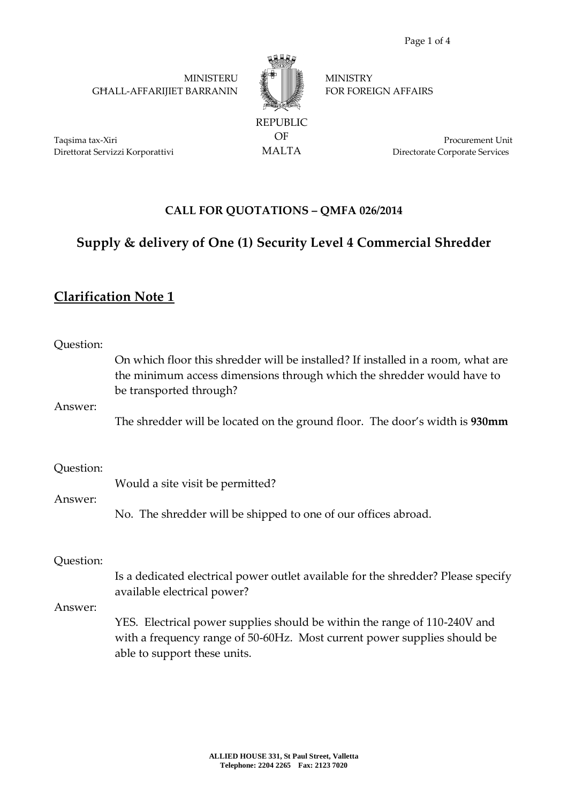MINISTERU GĦALL-AFFARIJIET BARRANIN



OF MALTA **MINISTRY** FOR FOREIGN AFFAIRS

Taqsima tax-Xiri Direttorat Servizzi Korporattivi

Procurement Unit Directorate Corporate Services

## **CALL FOR QUOTATIONS – QMFA 026/2014**

## **Supply & delivery of One (1) Security Level 4 Commercial Shredder**

## **Clarification Note 1**

| Question:<br>Answer: | On which floor this shredder will be installed? If installed in a room, what are<br>the minimum access dimensions through which the shredder would have to<br>be transported through?<br>The shredder will be located on the ground floor. The door's width is 930mm                                      |
|----------------------|-----------------------------------------------------------------------------------------------------------------------------------------------------------------------------------------------------------------------------------------------------------------------------------------------------------|
| Question:<br>Answer: | Would a site visit be permitted?<br>No. The shredder will be shipped to one of our offices abroad.                                                                                                                                                                                                        |
| Question:<br>Answer: | Is a dedicated electrical power outlet available for the shredder? Please specify<br>available electrical power?<br>YES. Electrical power supplies should be within the range of 110-240V and<br>with a frequency range of 50-60Hz. Most current power supplies should be<br>able to support these units. |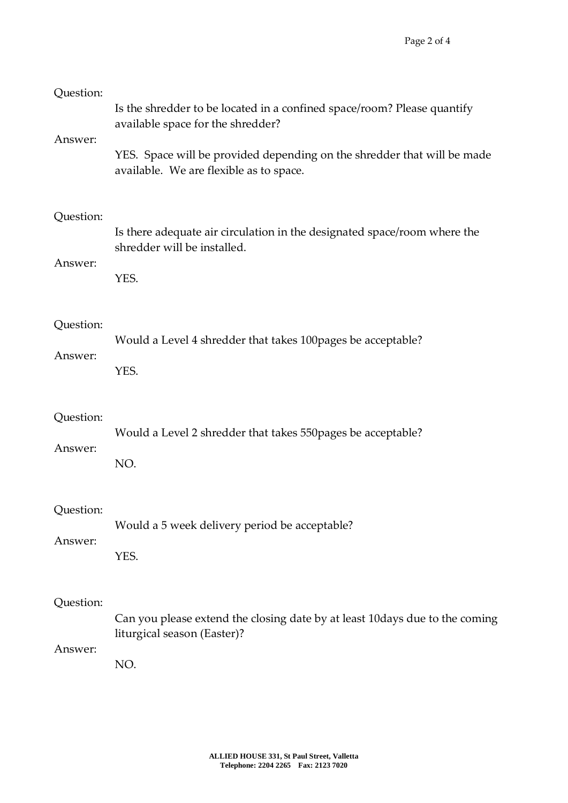| Question:<br>Answer: | Is the shredder to be located in a confined space/room? Please quantify<br>available space for the shredder?<br>YES. Space will be provided depending on the shredder that will be made<br>available. We are flexible as to space. |
|----------------------|------------------------------------------------------------------------------------------------------------------------------------------------------------------------------------------------------------------------------------|
| Question:<br>Answer: | Is there adequate air circulation in the designated space/room where the<br>shredder will be installed.<br>YES.                                                                                                                    |
| Question:            | Would a Level 4 shredder that takes 100 pages be acceptable?                                                                                                                                                                       |
| Answer:              | YES.                                                                                                                                                                                                                               |
| Question:            | Would a Level 2 shredder that takes 550 pages be acceptable?                                                                                                                                                                       |
| Answer:              | NO.                                                                                                                                                                                                                                |
| Question:            | Would a 5 week delivery period be acceptable?                                                                                                                                                                                      |
| Answer:              | YES.                                                                                                                                                                                                                               |
| Question:<br>Answer: | Can you please extend the closing date by at least 10days due to the coming<br>liturgical season (Easter)?<br>NO.                                                                                                                  |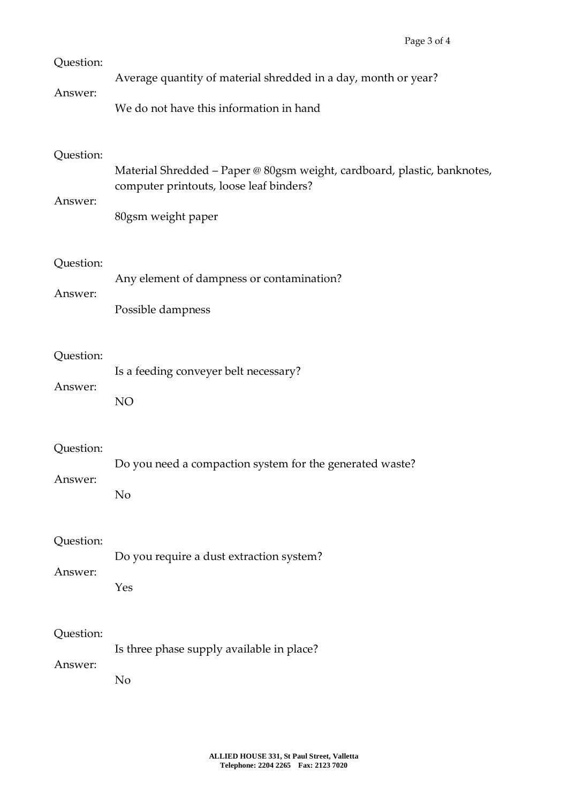| Question:            | Average quantity of material shredded in a day, month or year?                                                                            |
|----------------------|-------------------------------------------------------------------------------------------------------------------------------------------|
| Answer:              | We do not have this information in hand                                                                                                   |
| Question:<br>Answer: | Material Shredded - Paper @ 80gsm weight, cardboard, plastic, banknotes,<br>computer printouts, loose leaf binders?<br>80gsm weight paper |
| Question:            | Any element of dampness or contamination?                                                                                                 |
| Answer:              | Possible dampness                                                                                                                         |
| Question:            | Is a feeding conveyer belt necessary?                                                                                                     |
| Answer:              | NO                                                                                                                                        |
| Question:            | Do you need a compaction system for the generated waste?                                                                                  |
| Answer:              | N <sub>o</sub>                                                                                                                            |
| Question:            | Do you require a dust extraction system?                                                                                                  |
| Answer:              | Yes                                                                                                                                       |
| Question:            | Is three phase supply available in place?                                                                                                 |
| Answer:              | N <sub>o</sub>                                                                                                                            |